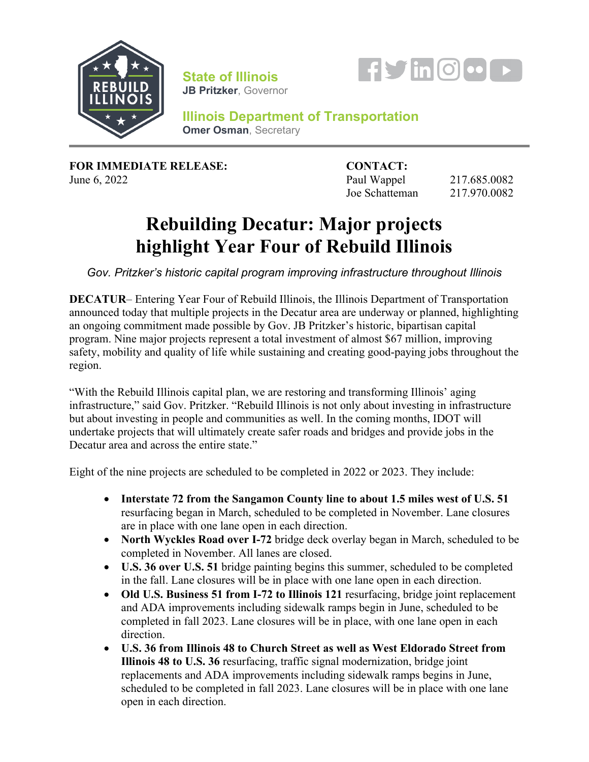

**State of Illinois JB Pritzker**, Governor



**Illinois Department of Transportation Omer Osman**, Secretary

**FOR IMMEDIATE RELEASE: CONTACT:**

**June 6, 2022 Paul Wappel 217.685.0082** Joe Schatteman 217.970.0082

## **Rebuilding Decatur: Major projects highlight Year Four of Rebuild Illinois**

*Gov. Pritzker's historic capital program improving infrastructure throughout Illinois*

**DECATUR**– Entering Year Four of Rebuild Illinois, the Illinois Department of Transportation announced today that multiple projects in the Decatur area are underway or planned, highlighting an ongoing commitment made possible by Gov. JB Pritzker's historic, bipartisan capital program. Nine major projects represent a total investment of almost \$67 million, improving safety, mobility and quality of life while sustaining and creating good-paying jobs throughout the region.

"With the Rebuild Illinois capital plan, we are restoring and transforming Illinois' aging infrastructure," said Gov. Pritzker. "Rebuild Illinois is not only about investing in infrastructure but about investing in people and communities as well. In the coming months, IDOT will undertake projects that will ultimately create safer roads and bridges and provide jobs in the Decatur area and across the entire state."

Eight of the nine projects are scheduled to be completed in 2022 or 2023. They include:

- **Interstate 72 from the Sangamon County line to about 1.5 miles west of U.S. 51**  resurfacing began in March, scheduled to be completed in November. Lane closures are in place with one lane open in each direction.
- **North Wyckles Road over I-72** bridge deck overlay began in March, scheduled to be completed in November. All lanes are closed.
- **U.S. 36 over U.S. 51** bridge painting begins this summer, scheduled to be completed in the fall. Lane closures will be in place with one lane open in each direction.
- **Old U.S. Business 51 from I-72 to Illinois 121** resurfacing, bridge joint replacement and ADA improvements including sidewalk ramps begin in June, scheduled to be completed in fall 2023. Lane closures will be in place, with one lane open in each direction.
- **U.S. 36 from Illinois 48 to Church Street as well as West Eldorado Street from Illinois 48 to U.S. 36** resurfacing, traffic signal modernization, bridge joint replacements and ADA improvements including sidewalk ramps begins in June, scheduled to be completed in fall 2023. Lane closures will be in place with one lane open in each direction.